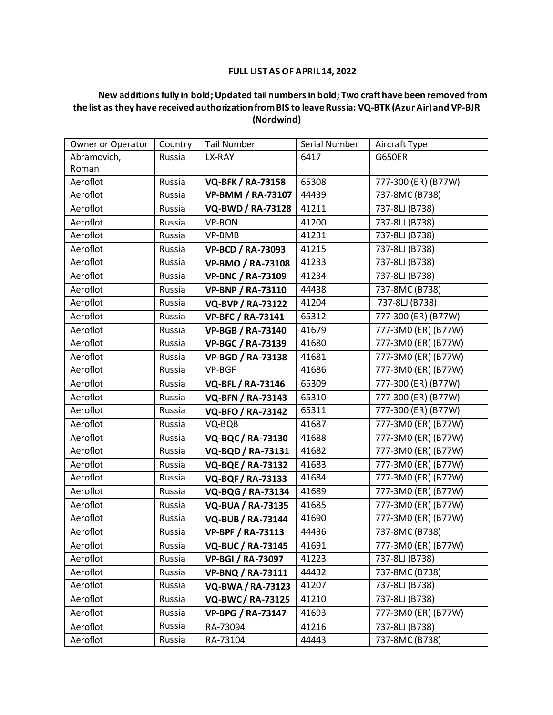## **FULL LIST AS OF APRIL 14, 2022**

## **New additions fully in bold; Updated tail numbers in bold; Two craft have been removed from the list as they have received authorization from BIS to leave Russia: VQ-BTK (Azur Air) and VP-BJR (Nordwind)**

|             | Owner or Operator | Country | <b>Tail Number</b>       | Serial Number | Aircraft Type       |
|-------------|-------------------|---------|--------------------------|---------------|---------------------|
| Abramovich, |                   | Russia  | LX-RAY                   | 6417          | <b>G650ER</b>       |
| Roman       |                   |         |                          |               |                     |
|             | Aeroflot          | Russia  | <b>VQ-BFK / RA-73158</b> | 65308         | 777-300 (ER) (B77W) |
|             | Aeroflot          | Russia  | <b>VP-BMM / RA-73107</b> | 44439         | 737-8MC (B738)      |
|             | Aeroflot          | Russia  | <b>VQ-BWD / RA-73128</b> | 41211         | 737-8LJ (B738)      |
|             | Aeroflot          | Russia  | VP-BON                   | 41200         | 737-8LJ (B738)      |
|             | Aeroflot          | Russia  | VP-BMB                   | 41231         | 737-8LJ (B738)      |
|             | Aeroflot          | Russia  | <b>VP-BCD / RA-73093</b> | 41215         | 737-8LJ (B738)      |
|             | Aeroflot          | Russia  | <b>VP-BMO / RA-73108</b> | 41233         | 737-8LJ (B738)      |
|             | Aeroflot          | Russia  | <b>VP-BNC / RA-73109</b> | 41234         | 737-8LJ (B738)      |
|             | Aeroflot          | Russia  | <b>VP-BNP / RA-73110</b> | 44438         | 737-8MC (B738)      |
|             | Aeroflot          | Russia  | <b>VQ-BVP / RA-73122</b> | 41204         | 737-8LJ (B738)      |
|             | Aeroflot          | Russia  | <b>VP-BFC / RA-73141</b> | 65312         | 777-300 (ER) (B77W) |
|             | Aeroflot          | Russia  | <b>VP-BGB / RA-73140</b> | 41679         | 777-3M0 (ER) (B77W) |
|             | Aeroflot          | Russia  | <b>VP-BGC / RA-73139</b> | 41680         | 777-3M0 (ER) (B77W) |
|             | Aeroflot          | Russia  | <b>VP-BGD / RA-73138</b> | 41681         | 777-3M0 (ER) (B77W) |
|             | Aeroflot          | Russia  | VP-BGF                   | 41686         | 777-3M0 (ER) (B77W) |
|             | Aeroflot          | Russia  | <b>VQ-BFL / RA-73146</b> | 65309         | 777-300 (ER) (B77W) |
|             | Aeroflot          | Russia  | <b>VQ-BFN / RA-73143</b> | 65310         | 777-300 (ER) (B77W) |
|             | Aeroflot          | Russia  | <b>VQ-BFO / RA-73142</b> | 65311         | 777-300 (ER) (B77W) |
|             | Aeroflot          | Russia  | VQ-BQB                   | 41687         | 777-3M0 (ER) (B77W) |
|             | Aeroflot          | Russia  | <b>VQ-BQC/RA-73130</b>   | 41688         | 777-3M0 (ER) (B77W) |
|             | Aeroflot          | Russia  | <b>VQ-BQD / RA-73131</b> | 41682         | 777-3M0 (ER) (B77W) |
|             | Aeroflot          | Russia  | <b>VQ-BQE / RA-73132</b> | 41683         | 777-3M0 (ER) (B77W) |
|             | Aeroflot          | Russia  | <b>VQ-BQF/RA-73133</b>   | 41684         | 777-3M0 (ER) (B77W) |
|             | Aeroflot          | Russia  | VQ-BQG / RA-73134        | 41689         | 777-3M0 (ER) (B77W) |
|             | Aeroflot          | Russia  | <b>VQ-BUA / RA-73135</b> | 41685         | 777-3M0 (ER) (B77W) |
|             | Aeroflot          | Russia  | <b>VQ-BUB / RA-73144</b> | 41690         | 777-3M0 (ER) (B77W) |
|             | Aeroflot          | Russia  | <b>VP-BPF / RA-73113</b> | 44436         | 737-8MC (B738)      |
|             | Aeroflot          | Russia  | <b>VQ-BUC / RA-73145</b> | 41691         | 777-3M0 (ER) (B77W) |
|             | Aeroflot          | Russia  | <b>VP-BGI / RA-73097</b> | 41223         | 737-8LJ (B738)      |
|             | Aeroflot          | Russia  | <b>VP-BNQ / RA-73111</b> | 44432         | 737-8MC (B738)      |
|             | Aeroflot          | Russia  | <b>VQ-BWA/RA-73123</b>   | 41207         | 737-8LJ (B738)      |
|             | Aeroflot          | Russia  | <b>VQ-BWC/RA-73125</b>   | 41210         | 737-8LJ (B738)      |
|             | Aeroflot          | Russia  | <b>VP-BPG / RA-73147</b> | 41693         | 777-3M0 (ER) (B77W) |
|             | Aeroflot          | Russia  | RA-73094                 | 41216         | 737-8LJ (B738)      |
|             | Aeroflot          | Russia  | RA-73104                 | 44443         | 737-8MC (B738)      |
|             |                   |         |                          |               |                     |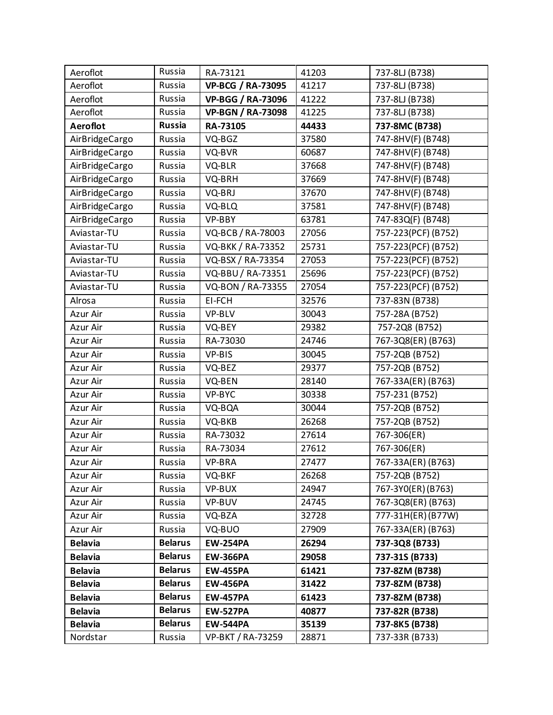| Aeroflot       | Russia         | RA-73121                 | 41203 | 737-8LJ (B738)      |
|----------------|----------------|--------------------------|-------|---------------------|
| Aeroflot       | Russia         | <b>VP-BCG / RA-73095</b> | 41217 | 737-8LJ (B738)      |
| Aeroflot       | Russia         | <b>VP-BGG / RA-73096</b> | 41222 | 737-8LJ (B738)      |
| Aeroflot       | Russia         | <b>VP-BGN / RA-73098</b> | 41225 | 737-8LJ (B738)      |
| Aeroflot       | <b>Russia</b>  | RA-73105                 | 44433 | 737-8MC (B738)      |
| AirBridgeCargo | Russia         | VQ-BGZ                   | 37580 | 747-8HV(F) (B748)   |
| AirBridgeCargo | Russia         | VQ-BVR                   | 60687 | 747-8HV(F) (B748)   |
| AirBridgeCargo | Russia         | VQ-BLR                   | 37668 | 747-8HV(F) (B748)   |
| AirBridgeCargo | Russia         | VQ-BRH                   | 37669 | 747-8HV(F) (B748)   |
| AirBridgeCargo | Russia         | VQ-BRJ                   | 37670 | 747-8HV(F) (B748)   |
| AirBridgeCargo | Russia         | VQ-BLQ                   | 37581 | 747-8HV(F) (B748)   |
| AirBridgeCargo | Russia         | VP-BBY                   | 63781 | 747-83Q(F) (B748)   |
| Aviastar-TU    | Russia         | VQ-BCB / RA-78003        | 27056 | 757-223(PCF) (B752) |
| Aviastar-TU    | Russia         | VQ-BKK / RA-73352        | 25731 | 757-223(PCF) (B752) |
| Aviastar-TU    | Russia         | VQ-BSX / RA-73354        | 27053 | 757-223(PCF) (B752) |
| Aviastar-TU    | Russia         | VQ-BBU / RA-73351        | 25696 | 757-223(PCF) (B752) |
| Aviastar-TU    | Russia         | VQ-BON / RA-73355        | 27054 | 757-223(PCF) (B752) |
| Alrosa         | Russia         | EI-FCH                   | 32576 | 737-83N (B738)      |
| Azur Air       | Russia         | VP-BLV                   | 30043 | 757-28A (B752)      |
| Azur Air       | Russia         | VQ-BEY                   | 29382 | 757-2Q8 (B752)      |
| Azur Air       | Russia         | RA-73030                 | 24746 | 767-3Q8(ER) (B763)  |
| Azur Air       | Russia         | VP-BIS                   | 30045 | 757-2QB (B752)      |
| Azur Air       | Russia         | VQ-BEZ                   | 29377 | 757-2QB (B752)      |
| Azur Air       | Russia         | VQ-BEN                   | 28140 | 767-33A(ER) (B763)  |
| Azur Air       | Russia         | VP-BYC                   | 30338 | 757-231 (B752)      |
| Azur Air       | Russia         | VQ-BQA                   | 30044 | 757-2QB (B752)      |
| Azur Air       | Russia         | VQ-BKB                   | 26268 | 757-2QB (B752)      |
| Azur Air       | Russia         | RA-73032                 | 27614 | 767-306(ER)         |
| Azur Air       | Russia         | RA-73034                 | 27612 | 767-306(ER)         |
| Azur Air       | Russia         | VP-BRA                   | 27477 | 767-33A(ER) (B763)  |
| Azur Air       | Russia         | VQ-BKF                   | 26268 | 757-2QB (B752)      |
| Azur Air       | Russia         | VP-BUX                   | 24947 | 767-3YO(ER) (B763)  |
| Azur Air       | Russia         | VP-BUV                   | 24745 | 767-3Q8(ER) (B763)  |
| Azur Air       | Russia         | VQ-BZA                   | 32728 | 777-31H(ER)(B77W)   |
| Azur Air       | Russia         | VQ-BUO                   | 27909 | 767-33A(ER) (B763)  |
| <b>Belavia</b> | <b>Belarus</b> | <b>EW-254PA</b>          | 26294 | 737-3Q8 (B733)      |
| <b>Belavia</b> | <b>Belarus</b> | <b>EW-366PA</b>          | 29058 | 737-31S (B733)      |
| <b>Belavia</b> | <b>Belarus</b> | <b>EW-455PA</b>          | 61421 | 737-8ZM (B738)      |
| <b>Belavia</b> | <b>Belarus</b> | <b>EW-456PA</b>          | 31422 | 737-8ZM (B738)      |
| <b>Belavia</b> | <b>Belarus</b> | <b>EW-457PA</b>          | 61423 | 737-8ZM (B738)      |
| <b>Belavia</b> | <b>Belarus</b> | <b>EW-527PA</b>          | 40877 | 737-82R (B738)      |
| <b>Belavia</b> | <b>Belarus</b> | <b>EW-544PA</b>          | 35139 | 737-8K5 (B738)      |
| Nordstar       | Russia         | VP-BKT / RA-73259        | 28871 | 737-33R (B733)      |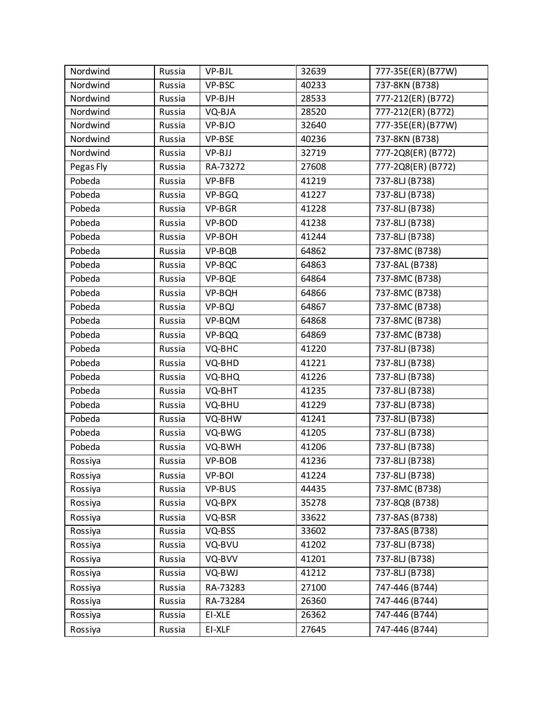| Nordwind  | Russia | VP-BJL   | 32639 | 777-35E(ER)(B77W)  |
|-----------|--------|----------|-------|--------------------|
| Nordwind  | Russia | VP-BSC   | 40233 | 737-8KN (B738)     |
| Nordwind  | Russia | VP-BJH   | 28533 | 777-212(ER) (B772) |
| Nordwind  | Russia | VQ-BJA   | 28520 | 777-212(ER) (B772) |
| Nordwind  | Russia | VP-BJO   | 32640 | 777-35E(ER)(B77W)  |
| Nordwind  | Russia | VP-BSE   | 40236 | 737-8KN (B738)     |
| Nordwind  | Russia | VP-BJJ   | 32719 | 777-2Q8(ER) (B772) |
| Pegas Fly | Russia | RA-73272 | 27608 | 777-2Q8(ER) (B772) |
| Pobeda    | Russia | VP-BFB   | 41219 | 737-8LJ (B738)     |
| Pobeda    | Russia | VP-BGQ   | 41227 | 737-8LJ (B738)     |
| Pobeda    | Russia | VP-BGR   | 41228 | 737-8LJ (B738)     |
| Pobeda    | Russia | VP-BOD   | 41238 | 737-8LJ (B738)     |
| Pobeda    | Russia | VP-BOH   | 41244 | 737-8LJ (B738)     |
| Pobeda    | Russia | VP-BQB   | 64862 | 737-8MC (B738)     |
| Pobeda    | Russia | VP-BQC   | 64863 | 737-8AL (B738)     |
| Pobeda    | Russia | VP-BQE   | 64864 | 737-8MC (B738)     |
| Pobeda    | Russia | VP-BQH   | 64866 | 737-8MC (B738)     |
| Pobeda    | Russia | VP-BQJ   | 64867 | 737-8MC (B738)     |
| Pobeda    | Russia | VP-BQM   | 64868 | 737-8MC (B738)     |
| Pobeda    | Russia | VP-BQQ   | 64869 | 737-8MC (B738)     |
| Pobeda    | Russia | VQ-BHC   | 41220 | 737-8LJ (B738)     |
| Pobeda    | Russia | VQ-BHD   | 41221 | 737-8LJ (B738)     |
| Pobeda    | Russia | VQ-BHQ   | 41226 | 737-8LJ (B738)     |
| Pobeda    | Russia | VQ-BHT   | 41235 | 737-8LJ (B738)     |
| Pobeda    | Russia | VQ-BHU   | 41229 | 737-8LJ (B738)     |
| Pobeda    | Russia | VQ-BHW   | 41241 | 737-8LJ (B738)     |
| Pobeda    | Russia | VQ-BWG   | 41205 | 737-8LJ (B738)     |
| Pobeda    | Russia | VQ-BWH   | 41206 | 737-8LJ (B738)     |
| Rossiya   | Russia | VP-BOB   | 41236 | 737-8LJ (B738)     |
| Rossiya   | Russia | VP-BOI   | 41224 | 737-8LJ (B738)     |
| Rossiya   | Russia | VP-BUS   | 44435 | 737-8MC (B738)     |
| Rossiya   | Russia | VQ-BPX   | 35278 | 737-8Q8 (B738)     |
| Rossiya   | Russia | VQ-BSR   | 33622 | 737-8AS (B738)     |
| Rossiya   | Russia | VQ-BSS   | 33602 | 737-8AS (B738)     |
| Rossiya   | Russia | VQ-BVU   | 41202 | 737-8LJ (B738)     |
| Rossiya   | Russia | VQ-BVV   | 41201 | 737-8LJ (B738)     |
| Rossiya   | Russia | VQ-BWJ   | 41212 | 737-8LJ (B738)     |
| Rossiya   | Russia | RA-73283 | 27100 | 747-446 (B744)     |
| Rossiya   | Russia | RA-73284 | 26360 | 747-446 (B744)     |
| Rossiya   | Russia | EI-XLE   | 26362 | 747-446 (B744)     |
| Rossiya   | Russia | EI-XLF   | 27645 | 747-446 (B744)     |